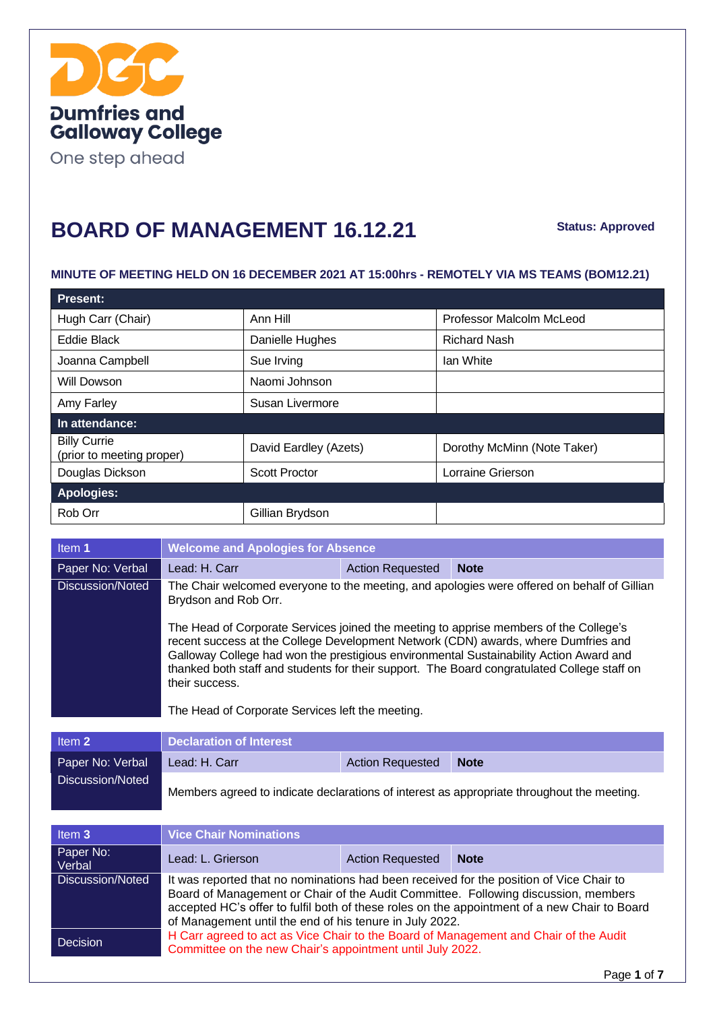

One step ahead

#### **BOARD OF MANAGEMENT 16.12.21**

**Status: Approved**

#### **MINUTE OF MEETING HELD ON 16 DECEMBER 2021 AT 15:00hrs - REMOTELY VIA MS TEAMS (BOM12.21)**

| <b>Present:</b>                                  |                       |                             |
|--------------------------------------------------|-----------------------|-----------------------------|
| Hugh Carr (Chair)                                | Ann Hill              | Professor Malcolm McLeod    |
| Eddie Black                                      | Danielle Hughes       | <b>Richard Nash</b>         |
| Joanna Campbell                                  | Sue Irving            | lan White                   |
| Will Dowson                                      | Naomi Johnson         |                             |
| Amy Farley                                       | Susan Livermore       |                             |
| In attendance:                                   |                       |                             |
| <b>Billy Currie</b><br>(prior to meeting proper) | David Eardley (Azets) | Dorothy McMinn (Note Taker) |
| Douglas Dickson                                  | <b>Scott Proctor</b>  | Lorraine Grierson           |
| <b>Apologies:</b>                                |                       |                             |
| Rob Orr                                          | Gillian Brydson       |                             |

| Item 1           | <b>Welcome and Apologies for Absence</b>                                                                                                                                                                                                                                                                                                                                                                                                   |                         |             |
|------------------|--------------------------------------------------------------------------------------------------------------------------------------------------------------------------------------------------------------------------------------------------------------------------------------------------------------------------------------------------------------------------------------------------------------------------------------------|-------------------------|-------------|
| Paper No: Verbal | Lead: H. Carr                                                                                                                                                                                                                                                                                                                                                                                                                              | <b>Action Requested</b> | <b>Note</b> |
| Discussion/Noted | The Chair welcomed everyone to the meeting, and apologies were offered on behalf of Gillian<br>Brydson and Rob Orr.                                                                                                                                                                                                                                                                                                                        |                         |             |
|                  | The Head of Corporate Services joined the meeting to apprise members of the College's<br>recent success at the College Development Network (CDN) awards, where Dumfries and<br>Galloway College had won the prestigious environmental Sustainability Action Award and<br>thanked both staff and students for their support. The Board congratulated College staff on<br>their success.<br>The Head of Corporate Services left the meeting. |                         |             |

| Item 2           | <b>Declaration of Interest A</b> |                         |                                                                                            |
|------------------|----------------------------------|-------------------------|--------------------------------------------------------------------------------------------|
| Paper No: Verbal | Lead: H. Carr                    | <b>Action Requested</b> | <b>Note</b>                                                                                |
| Discussion/Noted |                                  |                         | Members agreed to indicate declarations of interest as appropriate throughout the meeting. |

| Item 3              | <b>Vice Chair Nominations</b>                                                                                                                                                                                                                                                                                                            |                         |                                                                                      |
|---------------------|------------------------------------------------------------------------------------------------------------------------------------------------------------------------------------------------------------------------------------------------------------------------------------------------------------------------------------------|-------------------------|--------------------------------------------------------------------------------------|
| Paper No:<br>Verbal | Lead: L. Grierson                                                                                                                                                                                                                                                                                                                        | <b>Action Requested</b> | <b>Note</b>                                                                          |
| Discussion/Noted    | It was reported that no nominations had been received for the position of Vice Chair to<br>Board of Management or Chair of the Audit Committee. Following discussion, members<br>accepted HC's offer to fulfil both of these roles on the appointment of a new Chair to Board<br>of Management until the end of his tenure in July 2022. |                         |                                                                                      |
| Decision            | Committee on the new Chair's appointment until July 2022.                                                                                                                                                                                                                                                                                |                         | H Carr agreed to act as Vice Chair to the Board of Management and Chair of the Audit |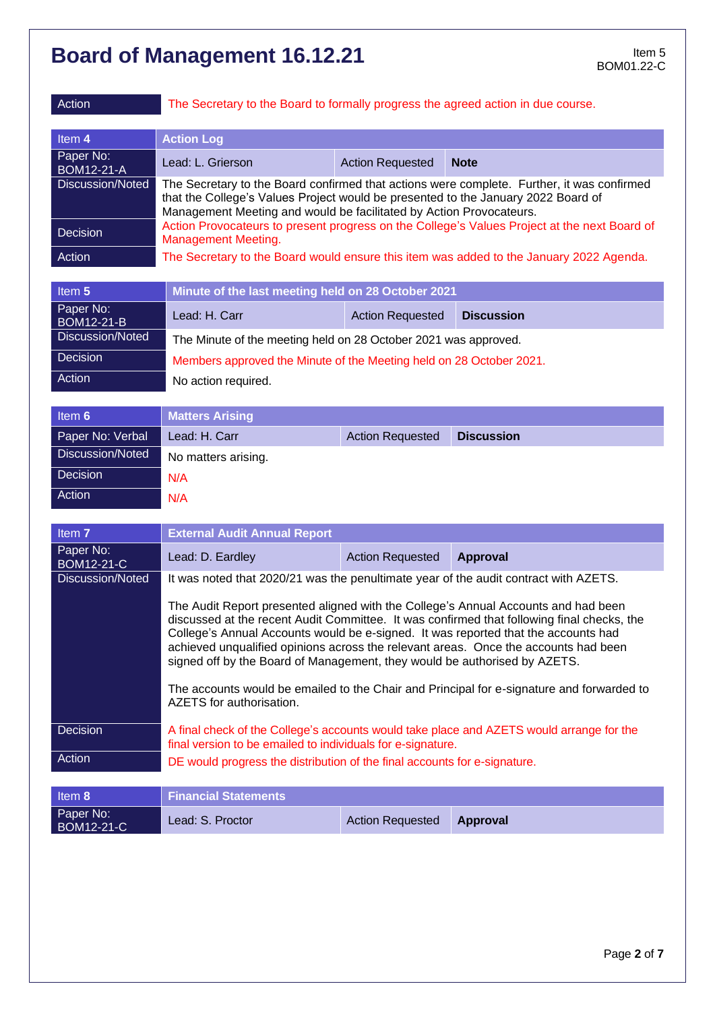Action The Secretary to the Board to formally progress the agreed action in due course.

| ltem 4                         | <b>Action Log</b>                                                                                                                                                                                                                                      |                         |             |
|--------------------------------|--------------------------------------------------------------------------------------------------------------------------------------------------------------------------------------------------------------------------------------------------------|-------------------------|-------------|
| Paper No:<br><b>BOM12-21-A</b> | Lead: L. Grierson                                                                                                                                                                                                                                      | <b>Action Requested</b> | <b>Note</b> |
| Discussion/Noted               | The Secretary to the Board confirmed that actions were complete. Further, it was confirmed<br>that the College's Values Project would be presented to the January 2022 Board of<br>Management Meeting and would be facilitated by Action Provocateurs. |                         |             |
| Decision                       | Action Provocateurs to present progress on the College's Values Project at the next Board of<br><b>Management Meeting.</b>                                                                                                                             |                         |             |
| Action                         | The Secretary to the Board would ensure this item was added to the January 2022 Agenda.                                                                                                                                                                |                         |             |

| Item 5                  | Minute of the last meeting held on 28 October 2021                  |  |  |  |
|-------------------------|---------------------------------------------------------------------|--|--|--|
| Paper No:<br>BOM12-21-B | Lead: H. Carr<br><b>Action Requested</b><br><b>Discussion</b>       |  |  |  |
| Discussion/Noted        | The Minute of the meeting held on 28 October 2021 was approved.     |  |  |  |
| Decision                | Members approved the Minute of the Meeting held on 28 October 2021. |  |  |  |
| Action                  | No action required.                                                 |  |  |  |

| Item 6           | <b>Matters Arising</b> |                         |                   |
|------------------|------------------------|-------------------------|-------------------|
| Paper No: Verbal | Lead: H. Carr          | <b>Action Requested</b> | <b>Discussion</b> |
| Discussion/Noted | No matters arising.    |                         |                   |
| Decision         | N/A                    |                         |                   |
| Action           | N/A                    |                         |                   |

| Item 7                         | <b>External Audit Annual Report</b>                                                                                                                                                                                                                                                                                                                                                                                                                                                                                                                                 |                         |                 |
|--------------------------------|---------------------------------------------------------------------------------------------------------------------------------------------------------------------------------------------------------------------------------------------------------------------------------------------------------------------------------------------------------------------------------------------------------------------------------------------------------------------------------------------------------------------------------------------------------------------|-------------------------|-----------------|
| Paper No:<br><b>BOM12-21-C</b> | Lead: D. Eardley                                                                                                                                                                                                                                                                                                                                                                                                                                                                                                                                                    | <b>Action Requested</b> | <b>Approval</b> |
| Discussion/Noted               | It was noted that 2020/21 was the penultimate year of the audit contract with AZETS.                                                                                                                                                                                                                                                                                                                                                                                                                                                                                |                         |                 |
|                                | The Audit Report presented aligned with the College's Annual Accounts and had been<br>discussed at the recent Audit Committee. It was confirmed that following final checks, the<br>College's Annual Accounts would be e-signed. It was reported that the accounts had<br>achieved unqualified opinions across the relevant areas. Once the accounts had been<br>signed off by the Board of Management, they would be authorised by AZETS.<br>The accounts would be emailed to the Chair and Principal for e-signature and forwarded to<br>AZETS for authorisation. |                         |                 |
| Decision                       | A final check of the College's accounts would take place and AZETS would arrange for the<br>final version to be emailed to individuals for e-signature.                                                                                                                                                                                                                                                                                                                                                                                                             |                         |                 |
| Action                         | DE would progress the distribution of the final accounts for e-signature.                                                                                                                                                                                                                                                                                                                                                                                                                                                                                           |                         |                 |

| Item 8                         | <b>Financial Statements</b> |                         |                 |
|--------------------------------|-----------------------------|-------------------------|-----------------|
| Paper No:<br><b>BOM12-21-C</b> | Lead: S. Proctor            | <b>Action Requested</b> | <b>Approval</b> |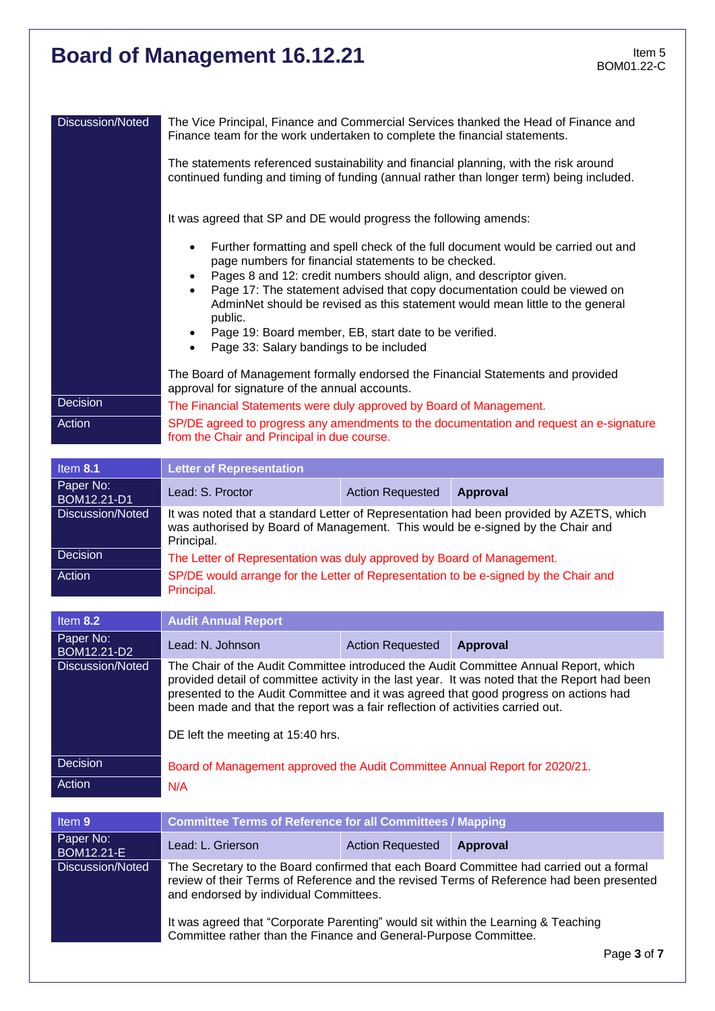| Discussion/Noted               | Finance team for the work undertaken to complete the financial statements.                                                                                                                                                                                                                                                                                                                                                                                                                                                              |                         | The Vice Principal, Finance and Commercial Services thanked the Head of Finance and     |
|--------------------------------|-----------------------------------------------------------------------------------------------------------------------------------------------------------------------------------------------------------------------------------------------------------------------------------------------------------------------------------------------------------------------------------------------------------------------------------------------------------------------------------------------------------------------------------------|-------------------------|-----------------------------------------------------------------------------------------|
|                                | The statements referenced sustainability and financial planning, with the risk around<br>continued funding and timing of funding (annual rather than longer term) being included.                                                                                                                                                                                                                                                                                                                                                       |                         |                                                                                         |
|                                | It was agreed that SP and DE would progress the following amends:                                                                                                                                                                                                                                                                                                                                                                                                                                                                       |                         |                                                                                         |
|                                | Further formatting and spell check of the full document would be carried out and<br>$\bullet$<br>page numbers for financial statements to be checked.<br>Pages 8 and 12: credit numbers should align, and descriptor given.<br>$\bullet$<br>Page 17: The statement advised that copy documentation could be viewed on<br>AdminNet should be revised as this statement would mean little to the general<br>public.<br>Page 19: Board member, EB, start date to be verified.<br>٠<br>Page 33: Salary bandings to be included<br>$\bullet$ |                         |                                                                                         |
|                                | The Board of Management formally endorsed the Financial Statements and provided<br>approval for signature of the annual accounts.                                                                                                                                                                                                                                                                                                                                                                                                       |                         |                                                                                         |
| Decision                       | The Financial Statements were duly approved by Board of Management.                                                                                                                                                                                                                                                                                                                                                                                                                                                                     |                         |                                                                                         |
| Action                         | from the Chair and Principal in due course.                                                                                                                                                                                                                                                                                                                                                                                                                                                                                             |                         | SP/DE agreed to progress any amendments to the documentation and request an e-signature |
| Item 8.1                       | <b>Letter of Representation</b>                                                                                                                                                                                                                                                                                                                                                                                                                                                                                                         |                         |                                                                                         |
| Paper No:<br>BOM12.21-D1       | Lead: S. Proctor                                                                                                                                                                                                                                                                                                                                                                                                                                                                                                                        | <b>Action Requested</b> | <b>Approval</b>                                                                         |
| Discussion/Noted               | was authorised by Board of Management. This would be e-signed by the Chair and<br>Principal.                                                                                                                                                                                                                                                                                                                                                                                                                                            |                         | It was noted that a standard Letter of Representation had been provided by AZETS, which |
| <b>Decision</b>                | The Letter of Representation was duly approved by Board of Management.                                                                                                                                                                                                                                                                                                                                                                                                                                                                  |                         |                                                                                         |
| Action                         | SP/DE would arrange for the Letter of Representation to be e-signed by the Chair and<br>Principal.                                                                                                                                                                                                                                                                                                                                                                                                                                      |                         |                                                                                         |
| Item 8.2                       | <b>Audit Annual Report</b>                                                                                                                                                                                                                                                                                                                                                                                                                                                                                                              |                         |                                                                                         |
| Paper No:<br>BOM12.21-D2       | Lead: N. Johnson                                                                                                                                                                                                                                                                                                                                                                                                                                                                                                                        | <b>Action Requested</b> | <b>Approval</b>                                                                         |
| <b>Discussion/Noted</b>        | The Chair of the Audit Committee introduced the Audit Committee Annual Report, which<br>provided detail of committee activity in the last year. It was noted that the Report had been<br>presented to the Audit Committee and it was agreed that good progress on actions had<br>been made and that the report was a fair reflection of activities carried out.<br>DE left the meeting at 15:40 hrs.                                                                                                                                    |                         |                                                                                         |
|                                |                                                                                                                                                                                                                                                                                                                                                                                                                                                                                                                                         |                         |                                                                                         |
| Decision                       | Board of Management approved the Audit Committee Annual Report for 2020/21.                                                                                                                                                                                                                                                                                                                                                                                                                                                             |                         |                                                                                         |
| Action                         | N/A                                                                                                                                                                                                                                                                                                                                                                                                                                                                                                                                     |                         |                                                                                         |
| Item 9                         | <b>Committee Terms of Reference for all Committees / Mapping</b>                                                                                                                                                                                                                                                                                                                                                                                                                                                                        |                         |                                                                                         |
| Paper No:<br><b>BOM12.21-E</b> | Lead: L. Grierson                                                                                                                                                                                                                                                                                                                                                                                                                                                                                                                       | <b>Action Requested</b> | <b>Approval</b>                                                                         |
| <b>Discussion/Noted</b>        | The Secretary to the Board confirmed that each Board Committee had carried out a formal<br>review of their Terms of Reference and the revised Terms of Reference had been presented<br>and endorsed by individual Committees.                                                                                                                                                                                                                                                                                                           |                         |                                                                                         |
|                                |                                                                                                                                                                                                                                                                                                                                                                                                                                                                                                                                         |                         |                                                                                         |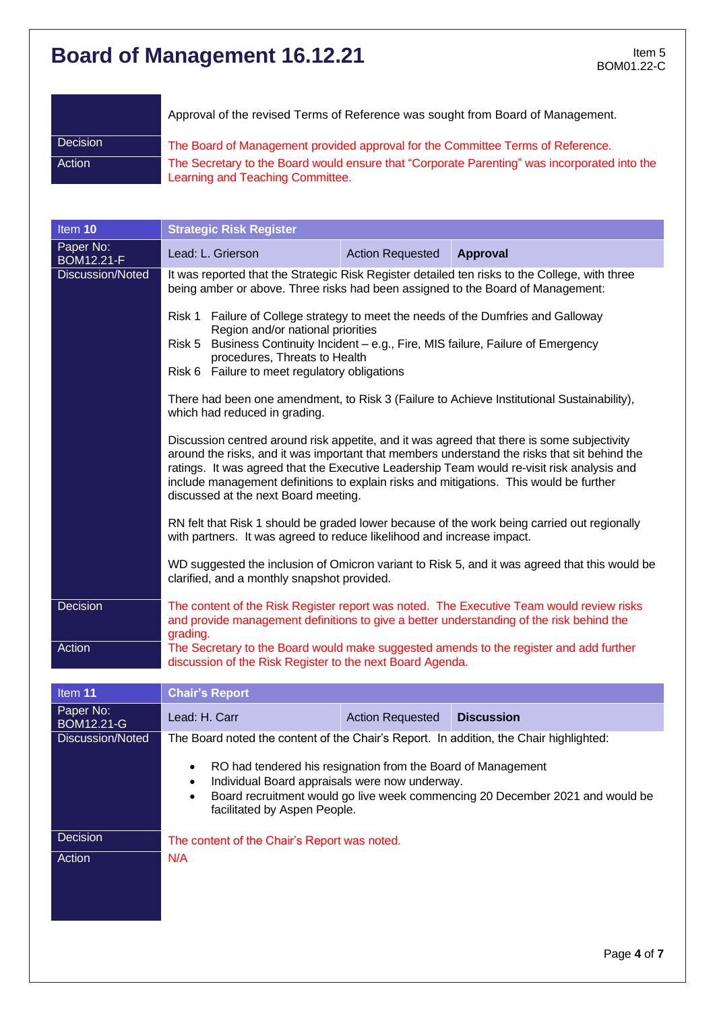|          | Approval of the revised Terms of Reference was sought from Board of Management.                                                  |
|----------|----------------------------------------------------------------------------------------------------------------------------------|
| Decision | The Board of Management provided approval for the Committee Terms of Reference.                                                  |
| Action   | The Secretary to the Board would ensure that "Corporate Parenting" was incorporated into the<br>Learning and Teaching Committee. |

| Item 10                        | <b>Strategic Risk Register</b>                                                                                                                                                                                                                                                                                                                                                                                                                                                                                                                                                                    |                         |                                                                                                                                                                                                                                                                                                                                                                                                                                                                                                                                                                                                                                                                                                                                                                          |
|--------------------------------|---------------------------------------------------------------------------------------------------------------------------------------------------------------------------------------------------------------------------------------------------------------------------------------------------------------------------------------------------------------------------------------------------------------------------------------------------------------------------------------------------------------------------------------------------------------------------------------------------|-------------------------|--------------------------------------------------------------------------------------------------------------------------------------------------------------------------------------------------------------------------------------------------------------------------------------------------------------------------------------------------------------------------------------------------------------------------------------------------------------------------------------------------------------------------------------------------------------------------------------------------------------------------------------------------------------------------------------------------------------------------------------------------------------------------|
| Paper No:<br><b>BOM12.21-F</b> | Lead: L. Grierson                                                                                                                                                                                                                                                                                                                                                                                                                                                                                                                                                                                 | <b>Action Requested</b> | <b>Approval</b>                                                                                                                                                                                                                                                                                                                                                                                                                                                                                                                                                                                                                                                                                                                                                          |
| Discussion/Noted               | being amber or above. Three risks had been assigned to the Board of Management:<br>Risk 1 Failure of College strategy to meet the needs of the Dumfries and Galloway<br>Region and/or national priorities<br>Risk 5<br>procedures, Threats to Health<br>Risk 6 Failure to meet regulatory obligations<br>which had reduced in grading.<br>include management definitions to explain risks and mitigations. This would be further<br>discussed at the next Board meeting.<br>with partners. It was agreed to reduce likelihood and increase impact.<br>clarified, and a monthly snapshot provided. |                         | It was reported that the Strategic Risk Register detailed ten risks to the College, with three<br>Business Continuity Incident - e.g., Fire, MIS failure, Failure of Emergency<br>There had been one amendment, to Risk 3 (Failure to Achieve Institutional Sustainability),<br>Discussion centred around risk appetite, and it was agreed that there is some subjectivity<br>around the risks, and it was important that members understand the risks that sit behind the<br>ratings. It was agreed that the Executive Leadership Team would re-visit risk analysis and<br>RN felt that Risk 1 should be graded lower because of the work being carried out regionally<br>WD suggested the inclusion of Omicron variant to Risk 5, and it was agreed that this would be |
| Decision                       | grading.                                                                                                                                                                                                                                                                                                                                                                                                                                                                                                                                                                                          |                         | The content of the Risk Register report was noted. The Executive Team would review risks<br>and provide management definitions to give a better understanding of the risk behind the                                                                                                                                                                                                                                                                                                                                                                                                                                                                                                                                                                                     |
| Action                         | discussion of the Risk Register to the next Board Agenda.                                                                                                                                                                                                                                                                                                                                                                                                                                                                                                                                         |                         | The Secretary to the Board would make suggested amends to the register and add further                                                                                                                                                                                                                                                                                                                                                                                                                                                                                                                                                                                                                                                                                   |

| Item 11                 | <b>Chair's Report</b>                                                                                                                                                                                                                        |                         |                   |  |  |
|-------------------------|----------------------------------------------------------------------------------------------------------------------------------------------------------------------------------------------------------------------------------------------|-------------------------|-------------------|--|--|
| Paper No:<br>BOM12.21-G | Lead: H. Carr                                                                                                                                                                                                                                | <b>Action Requested</b> | <b>Discussion</b> |  |  |
| Discussion/Noted        | The Board noted the content of the Chair's Report. In addition, the Chair highlighted:                                                                                                                                                       |                         |                   |  |  |
|                         | RO had tendered his resignation from the Board of Management<br>$\bullet$<br>Individual Board appraisals were now underway.<br>Board recruitment would go live week commencing 20 December 2021 and would be<br>facilitated by Aspen People. |                         |                   |  |  |
| Decision                | The content of the Chair's Report was noted.                                                                                                                                                                                                 |                         |                   |  |  |
| Action                  | N/A                                                                                                                                                                                                                                          |                         |                   |  |  |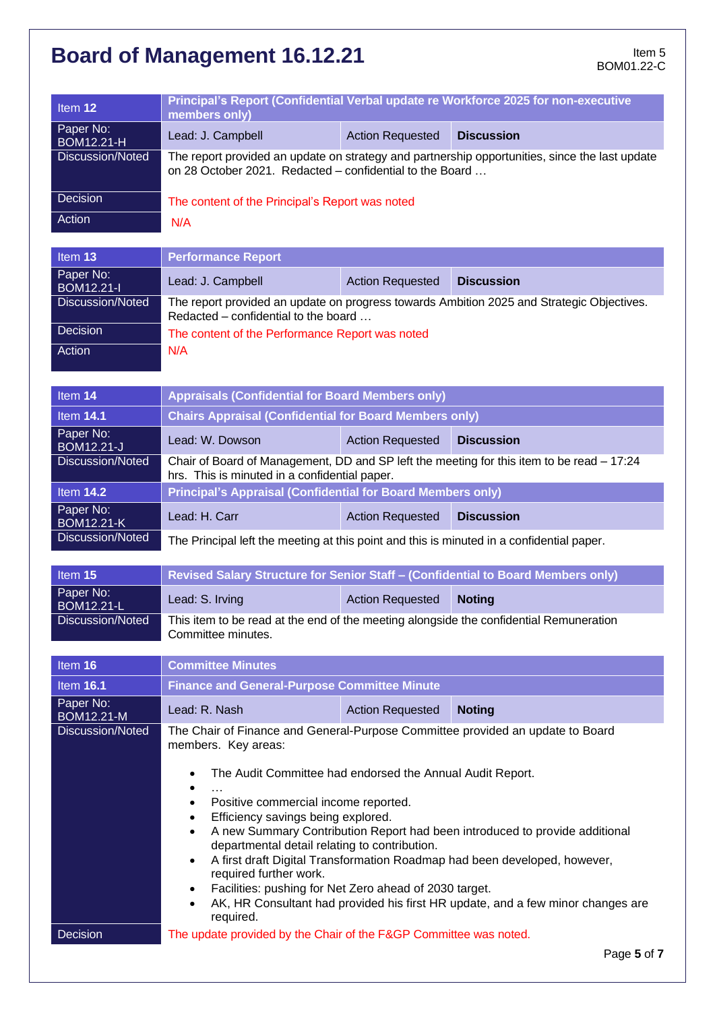| Item <sub>12</sub>                    | Principal's Report (Confidential Verbal update re Workforce 2025 for non-executive<br>members only)                                                                 |                         |                                                                             |  |  |
|---------------------------------------|---------------------------------------------------------------------------------------------------------------------------------------------------------------------|-------------------------|-----------------------------------------------------------------------------|--|--|
| Paper No:<br><b>BOM12.21-H</b>        | Lead: J. Campbell                                                                                                                                                   | <b>Action Requested</b> | <b>Discussion</b>                                                           |  |  |
| Discussion/Noted                      | The report provided an update on strategy and partnership opportunities, since the last update<br>on 28 October 2021. Redacted – confidential to the Board          |                         |                                                                             |  |  |
| Decision                              | The content of the Principal's Report was noted                                                                                                                     |                         |                                                                             |  |  |
| Action                                | N/A                                                                                                                                                                 |                         |                                                                             |  |  |
| Item 13                               | <b>Performance Report</b>                                                                                                                                           |                         |                                                                             |  |  |
| Paper No:<br><b>BOM12.21-I</b>        | Lead: J. Campbell                                                                                                                                                   | <b>Action Requested</b> | <b>Discussion</b>                                                           |  |  |
| Discussion/Noted                      | The report provided an update on progress towards Ambition 2025 and Strategic Objectives.<br>Redacted – confidential to the board                                   |                         |                                                                             |  |  |
| Decision                              | The content of the Performance Report was noted                                                                                                                     |                         |                                                                             |  |  |
| Action                                | N/A                                                                                                                                                                 |                         |                                                                             |  |  |
|                                       |                                                                                                                                                                     |                         |                                                                             |  |  |
| Item 14                               | <b>Appraisals (Confidential for Board Members only)</b>                                                                                                             |                         |                                                                             |  |  |
| <b>Item 14.1</b>                      | <b>Chairs Appraisal (Confidential for Board Members only)</b>                                                                                                       |                         |                                                                             |  |  |
| Paper No:<br><b>BOM12.21-J</b>        | Lead: W. Dowson                                                                                                                                                     | <b>Action Requested</b> | <b>Discussion</b>                                                           |  |  |
| Discussion/Noted                      | Chair of Board of Management, DD and SP left the meeting for this item to be read - 17:24<br>hrs. This is minuted in a confidential paper.                          |                         |                                                                             |  |  |
| <b>Item 14.2</b>                      | <b>Principal's Appraisal (Confidential for Board Members only)</b>                                                                                                  |                         |                                                                             |  |  |
| Paper No:<br><b>BOM12.21-K</b>        | Lead: H. Carr                                                                                                                                                       | <b>Action Requested</b> | <b>Discussion</b>                                                           |  |  |
| Discussion/Noted                      | The Principal left the meeting at this point and this is minuted in a confidential paper.                                                                           |                         |                                                                             |  |  |
| Item 15                               | Revised Salary Structure for Senior Staff - (Confidential to Board Members only)                                                                                    |                         |                                                                             |  |  |
| Paper No:                             | Lead: S. Irving                                                                                                                                                     | <b>Action Requested</b> | <b>Noting</b>                                                               |  |  |
| <b>BOM12.21-L</b><br>Discussion/Noted | This item to be read at the end of the meeting alongside the confidential Remuneration                                                                              |                         |                                                                             |  |  |
|                                       | Committee minutes.                                                                                                                                                  |                         |                                                                             |  |  |
| Item 16                               | <b>Committee Minutes</b>                                                                                                                                            |                         |                                                                             |  |  |
| <b>Item 16.1</b>                      | <b>Finance and General-Purpose Committee Minute</b>                                                                                                                 |                         |                                                                             |  |  |
| Paper No:<br><b>BOM12.21-M</b>        | Lead: R. Nash                                                                                                                                                       | <b>Action Requested</b> | <b>Noting</b>                                                               |  |  |
| <b>Discussion/Noted</b>               | The Chair of Finance and General-Purpose Committee provided an update to Board<br>members. Key areas:                                                               |                         |                                                                             |  |  |
|                                       |                                                                                                                                                                     |                         |                                                                             |  |  |
|                                       | The Audit Committee had endorsed the Annual Audit Report.<br>$\bullet$                                                                                              |                         |                                                                             |  |  |
|                                       | Positive commercial income reported.<br>٠                                                                                                                           |                         |                                                                             |  |  |
|                                       | Efficiency savings being explored.<br>$\bullet$<br>$\bullet$                                                                                                        |                         | A new Summary Contribution Report had been introduced to provide additional |  |  |
|                                       | departmental detail relating to contribution.                                                                                                                       |                         |                                                                             |  |  |
|                                       | A first draft Digital Transformation Roadmap had been developed, however,<br>٠<br>required further work.                                                            |                         |                                                                             |  |  |
|                                       | Facilities: pushing for Net Zero ahead of 2030 target.<br>$\bullet$<br>AK, HR Consultant had provided his first HR update, and a few minor changes are<br>$\bullet$ |                         |                                                                             |  |  |
|                                       | required.<br>The update provided by the Chair of the F&GP Committee was noted.                                                                                      |                         |                                                                             |  |  |
| Decision                              |                                                                                                                                                                     |                         |                                                                             |  |  |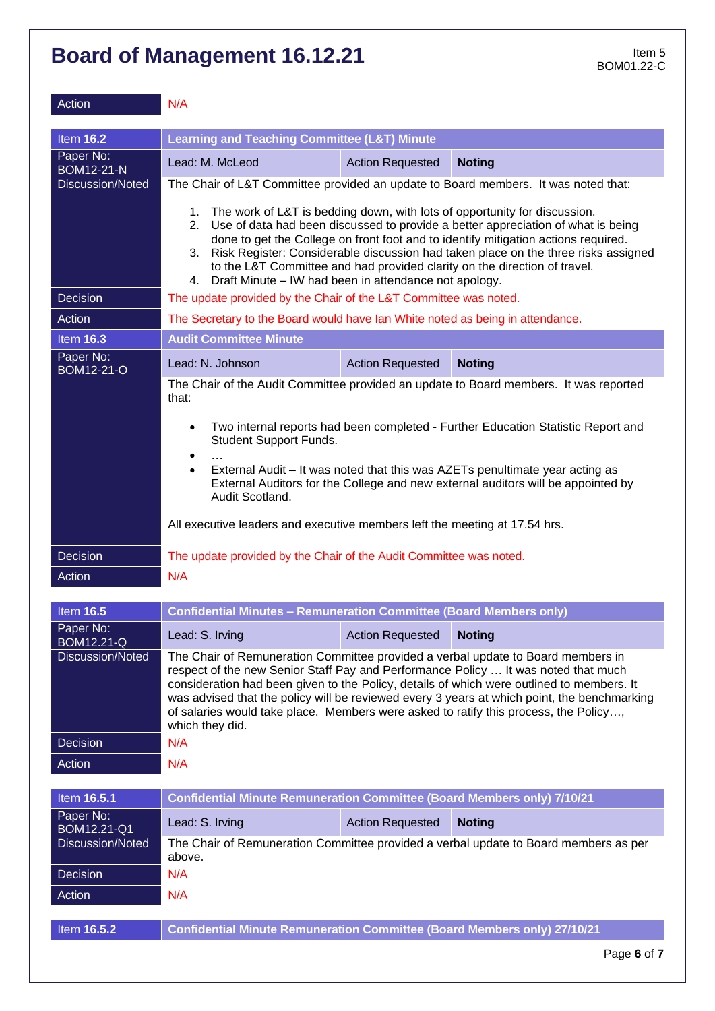| Action                          | N/A                                                                                                                                                                                                                                                                                                                                                                                                                                                                                         |  |  |  |
|---------------------------------|---------------------------------------------------------------------------------------------------------------------------------------------------------------------------------------------------------------------------------------------------------------------------------------------------------------------------------------------------------------------------------------------------------------------------------------------------------------------------------------------|--|--|--|
| <b>Item 16.2</b>                | <b>Learning and Teaching Committee (L&amp;T) Minute</b>                                                                                                                                                                                                                                                                                                                                                                                                                                     |  |  |  |
| Paper No:<br><b>BOM12-21-N</b>  | Lead: M. McLeod<br><b>Action Requested</b><br><b>Noting</b>                                                                                                                                                                                                                                                                                                                                                                                                                                 |  |  |  |
| Discussion/Noted                | The Chair of L&T Committee provided an update to Board members. It was noted that:                                                                                                                                                                                                                                                                                                                                                                                                          |  |  |  |
|                                 | 1. The work of L&T is bedding down, with lots of opportunity for discussion.<br>2. Use of data had been discussed to provide a better appreciation of what is being<br>done to get the College on front foot and to identify mitigation actions required.<br>3. Risk Register: Considerable discussion had taken place on the three risks assigned<br>to the L&T Committee and had provided clarity on the direction of travel.<br>4. Draft Minute – IW had been in attendance not apology. |  |  |  |
| <b>Decision</b>                 | The update provided by the Chair of the L&T Committee was noted.                                                                                                                                                                                                                                                                                                                                                                                                                            |  |  |  |
| Action                          | The Secretary to the Board would have Ian White noted as being in attendance.                                                                                                                                                                                                                                                                                                                                                                                                               |  |  |  |
| <b>Item 16.3</b>                | <b>Audit Committee Minute</b>                                                                                                                                                                                                                                                                                                                                                                                                                                                               |  |  |  |
| Paper No:<br>BOM12-21-O         | Lead: N. Johnson<br><b>Action Requested</b><br><b>Noting</b>                                                                                                                                                                                                                                                                                                                                                                                                                                |  |  |  |
|                                 | The Chair of the Audit Committee provided an update to Board members. It was reported<br>that:                                                                                                                                                                                                                                                                                                                                                                                              |  |  |  |
|                                 | Two internal reports had been completed - Further Education Statistic Report and<br>$\bullet$<br><b>Student Support Funds.</b>                                                                                                                                                                                                                                                                                                                                                              |  |  |  |
|                                 | $\bullet$<br>External Audit – It was noted that this was AZETs penultimate year acting as<br>$\bullet$<br>External Auditors for the College and new external auditors will be appointed by<br>Audit Scotland.                                                                                                                                                                                                                                                                               |  |  |  |
|                                 | All executive leaders and executive members left the meeting at 17.54 hrs.                                                                                                                                                                                                                                                                                                                                                                                                                  |  |  |  |
| <b>Decision</b>                 | The update provided by the Chair of the Audit Committee was noted.                                                                                                                                                                                                                                                                                                                                                                                                                          |  |  |  |
| Action                          | N/A                                                                                                                                                                                                                                                                                                                                                                                                                                                                                         |  |  |  |
|                                 |                                                                                                                                                                                                                                                                                                                                                                                                                                                                                             |  |  |  |
| <b>Item 16.5</b>                | <b>Confidential Minutes - Remuneration Committee (Board Members only)</b>                                                                                                                                                                                                                                                                                                                                                                                                                   |  |  |  |
| Paper No:<br><b>BOM12.21-Q</b>  | Lead: S. Irving<br><b>Action Requested</b><br><b>Noting</b>                                                                                                                                                                                                                                                                                                                                                                                                                                 |  |  |  |
| Discussion/Noted                | The Chair of Remuneration Committee provided a verbal update to Board members in<br>respect of the new Senior Staff Pay and Performance Policy  It was noted that much<br>consideration had been given to the Policy, details of which were outlined to members. It<br>was advised that the policy will be reviewed every 3 years at which point, the benchmarking<br>of salaries would take place. Members were asked to ratify this process, the Policy,<br>which they did.               |  |  |  |
| Decision                        | N/A                                                                                                                                                                                                                                                                                                                                                                                                                                                                                         |  |  |  |
| Action                          | N/A                                                                                                                                                                                                                                                                                                                                                                                                                                                                                         |  |  |  |
| Item 16.5.1                     | <b>Confidential Minute Remuneration Committee (Board Members only) 7/10/21</b>                                                                                                                                                                                                                                                                                                                                                                                                              |  |  |  |
| Paper No:                       | <b>Action Requested</b><br><b>Noting</b><br>Lead: S. Irving                                                                                                                                                                                                                                                                                                                                                                                                                                 |  |  |  |
| BOM12.21-Q1<br>Discussion/Noted | The Chair of Remuneration Committee provided a verbal update to Board members as per<br>above.                                                                                                                                                                                                                                                                                                                                                                                              |  |  |  |
| Decision                        | N/A                                                                                                                                                                                                                                                                                                                                                                                                                                                                                         |  |  |  |
| Action                          | N/A                                                                                                                                                                                                                                                                                                                                                                                                                                                                                         |  |  |  |
| Item 16.5.2                     | <b>Confidential Minute Remuneration Committee (Board Members only) 27/10/21</b>                                                                                                                                                                                                                                                                                                                                                                                                             |  |  |  |
|                                 | Page 6 of 7                                                                                                                                                                                                                                                                                                                                                                                                                                                                                 |  |  |  |